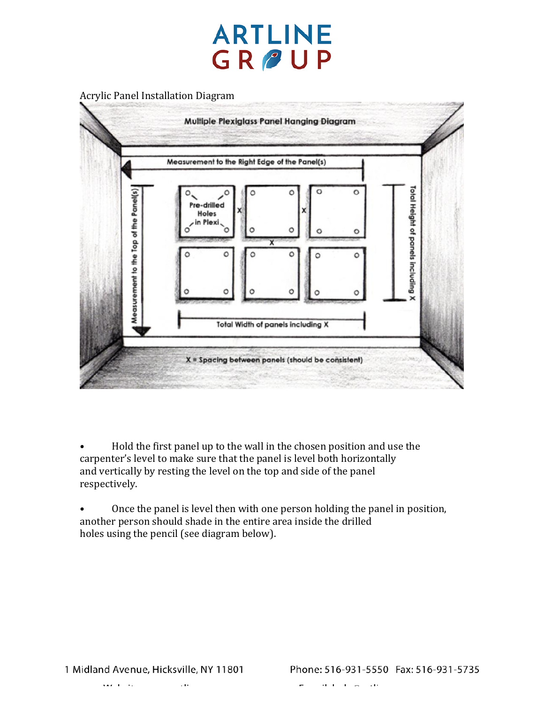

• Hold the first panel up to the wall in the chosen position and use the carpenter's level to make sure that the panel is level both horizontally and vertically by resting the level on the top and side of the panel respectively.

• Once the panel is level then with one person holding the panel in position, another person should shade in the entire area inside the drilled holes using the pencil (see diagram below).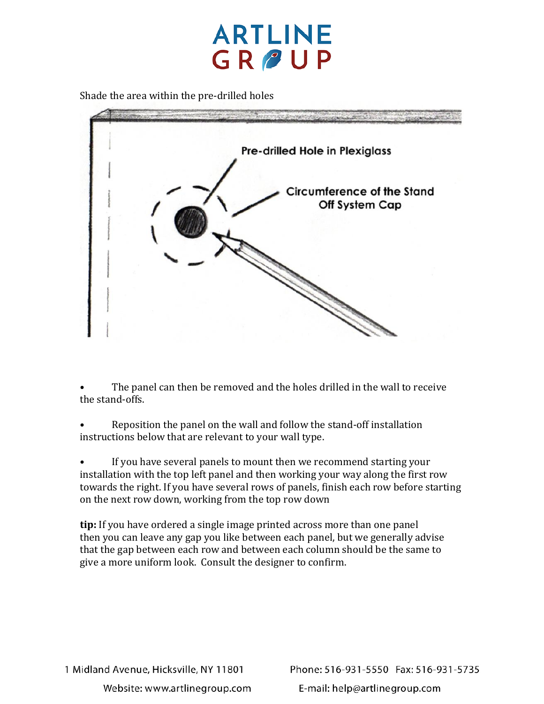

Shade the area within the pre-drilled holes



• The panel can then be removed and the holes drilled in the wall to receive the stand-offs.

• Reposition the panel on the wall and follow the stand-off installation instructions below that are relevant to your wall type.

If you have several panels to mount then we recommend starting your installation with the top left panel and then working your way along the first row towards the right. If you have several rows of panels, finish each row before starting on the next row down, working from the top row down

**tip:** If you have ordered a single image printed across more than one panel then you can leave any gap you like between each panel, but we generally advise that the gap between each row and between each column should be the same to give a more uniform look. Consult the designer to confirm.

Phone: 516-931-5550 Fax: 516-931-5735 E-mail: help@artlinegroup.com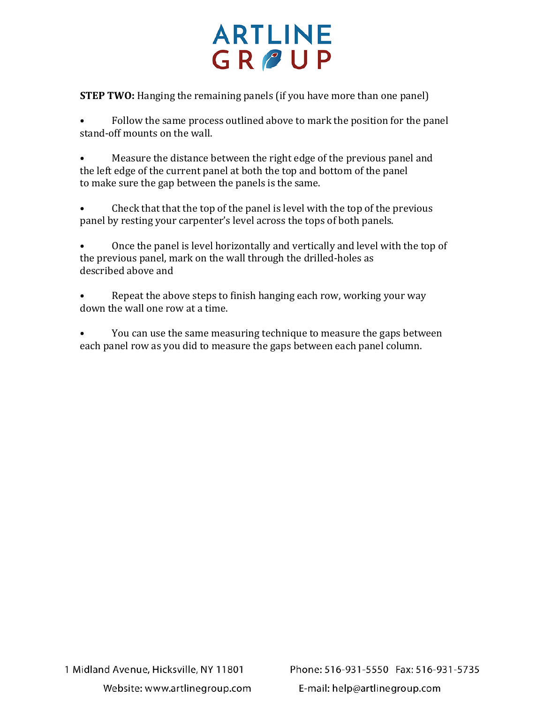## **ARTLINE** GROUP

**STEP TWO:** Hanging the remaining panels (if you have more than one panel)

• Follow the same process outlined above to mark the position for the panel stand-off mounts on the wall.

• Measure the distance between the right edge of the previous panel and the left edge of the current panel at both the top and bottom of the panel to make sure the gap between the panels is the same.

• Check that that the top of the panel is level with the top of the previous panel by resting your carpenter's level across the tops of both panels.

• Once the panel is level horizontally and vertically and level with the top of the previous panel, mark on the wall through the drilled-holes as described above and

• Repeat the above steps to finish hanging each row, working your way down the wall one row at a time.

• You can use the same measuring technique to measure the gaps between each panel row as you did to measure the gaps between each panel column.